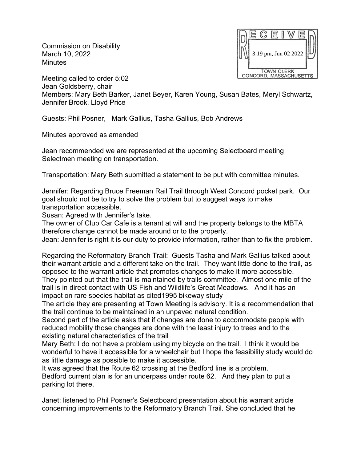Commission on Disability March 10, 2022 **Minutes** 



Meeting called to order 5:02 Jean Goldsberry, chair Members: Mary Beth Barker, Janet Beyer, Karen Young, Susan Bates, Meryl Schwartz, Jennifer Brook, Lloyd Price

Guests: Phil Posner, Mark Gallius, Tasha Gallius, Bob Andrews

Minutes approved as amended

Jean recommended we are represented at the upcoming Selectboard meeting Selectmen meeting on transportation.

Transportation: Mary Beth submitted a statement to be put with committee minutes.

Jennifer: Regarding Bruce Freeman Rail Trail through West Concord pocket park. Our goal should not be to try to solve the problem but to suggest ways to make transportation accessible.

Susan: Agreed with Jennifer's take.

The owner of Club Car Cafe is a tenant at will and the property belongs to the MBTA therefore change cannot be made around or to the property.

Jean: Jennifer is right it is our duty to provide information, rather than to fix the problem.

Regarding the Reformatory Branch Trail: Guests Tasha and Mark Gallius talked about their warrant article and a different take on the trail. They want little done to the trail, as opposed to the warrant article that promotes changes to make it more accessible.

They pointed out that the trail is maintained by trails committee. Almost one mile of the trail is in direct contact with US Fish and Wildlife's Great Meadows. And it has an impact on rare species habitat as cited1995 bikeway study

The article they are presenting at Town Meeting is advisory. It is a recommendation that the trail continue to be maintained in an unpaved natural condition.

Second part of the article asks that if changes are done to accommodate people with reduced mobility those changes are done with the least injury to trees and to the existing natural characteristics of the trail

Mary Beth: I do not have a problem using my bicycle on the trail. I think it would be wonderful to have it accessible for a wheelchair but I hope the feasibility study would do as little damage as possible to make it accessible.

It was agreed that the Route 62 crossing at the Bedford line is a problem. Bedford current plan is for an underpass under route 62. And they plan to put a parking lot there.

Janet: listened to Phil Posner's Selectboard presentation about his warrant article concerning improvements to the Reformatory Branch Trail. She concluded that he